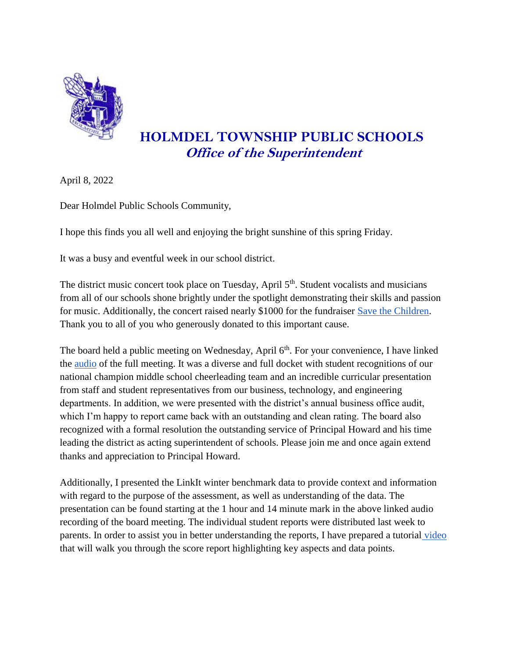

## **HOLMDEL TOWNSHIP PUBLIC SCHOOLS Office of the Superintendent**

April 8, 2022

Dear Holmdel Public Schools Community,

I hope this finds you all well and enjoying the bright sunshine of this spring Friday.

It was a busy and eventful week in our school district.

The district music concert took place on Tuesday, April 5<sup>th</sup>. Student vocalists and musicians from all of our schools shone brightly under the spotlight demonstrating their skills and passion for music. Additionally, the concert raised nearly \$1000 for the fundraiser [Save the Children.](https://www.savethechildren.org/) Thank you to all of you who generously donated to this important cause.

The board held a public meeting on Wednesday, April 6<sup>th</sup>. For your convenience, I have linked the [audio](https://resources.finalsite.net/videos/v1649335734/holmdelk12njus/baj903qclcb7ci20adgo/BOE_Audio_4_6_22.mp3) of the full meeting. It was a diverse and full docket with student recognitions of our national champion middle school cheerleading team and an incredible curricular presentation from staff and student representatives from our business, technology, and engineering departments. In addition, we were presented with the district's annual business office audit, which I'm happy to report came back with an outstanding and clean rating. The board also recognized with a formal resolution the outstanding service of Principal Howard and his time leading the district as acting superintendent of schools. Please join me and once again extend thanks and appreciation to Principal Howard.

Additionally, I presented the LinkIt winter benchmark data to provide context and information with regard to the purpose of the assessment, as well as understanding of the data. The presentation can be found starting at the 1 hour and 14 minute mark in the above linked audio recording of the board meeting. The individual student reports were distributed last week to parents. In order to assist you in better understanding the reports, I have prepared a tutoria[l](https://drive.google.com/file/d/1e6BBIzXmZAuZJ8ajn_AxZOfANv_Tz_wT/view) [video](https://drive.google.com/file/d/1e6BBIzXmZAuZJ8ajn_AxZOfANv_Tz_wT/view) that will walk you through the score report highlighting key aspects and data points.